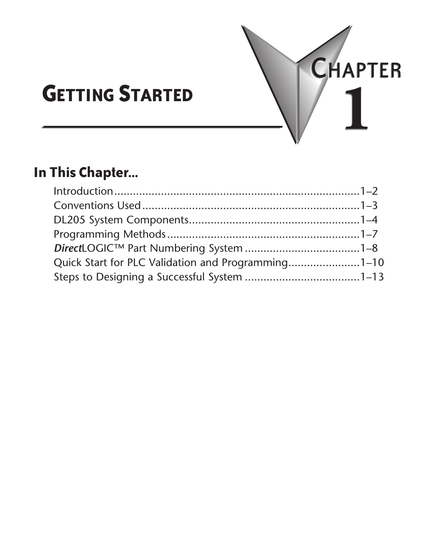

# **GETTING STARTED**

# **In This Chapter...**

| $Introduction 1-2$                                 |  |
|----------------------------------------------------|--|
|                                                    |  |
|                                                    |  |
|                                                    |  |
|                                                    |  |
| Quick Start for PLC Validation and Programming1-10 |  |
|                                                    |  |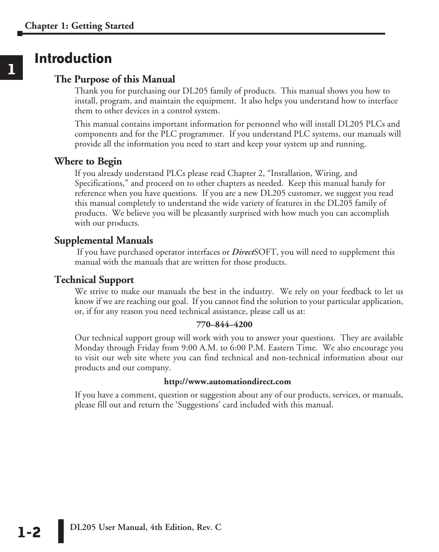# **Introduction**

### **The Purpose of this Manual**

Thank you for purchasing our DL205 family of products. This manual shows you how to install, program, and maintain the equipment. It also helps you understand how to interface them to other devices in a control system.

This manual contains important information for personnel who will install DL205 PLCs and components and for the PLC programmer. If you understand PLC systems, our manuals will provide all the information you need to start and keep your system up and running.

#### **Where to Begin**

If you already understand PLCs please read Chapter 2, "Installation, Wiring, and Specifications," and proceed on to other chapters as needed. Keep this manual handy for reference when you have questions. If you are a new DL205 customer, we suggest you read this manual completely to understand the wide variety of features in the DL205 family of products. We believe you will be pleasantly surprised with how much you can accomplish with our products.

### **Supplemental Manuals**

 If you have purchased operator interfaces or *Direct*SOFT, you will need to supplement this manual with the manuals that are written for those products.

#### **Technical Support**

We strive to make our manuals the best in the industry. We rely on your feedback to let us know if we are reaching our goal. If you cannot find the solution to your particular application, or, if for any reason you need technical assistance, please call us at:

#### **770–844–4200**

Our technical support group will work with you to answer your questions. They are available Monday through Friday from 9:00 A.M. to 6:00 P.M. Eastern Time. We also encourage you to visit our web site where you can find technical and non-technical information about our products and our company.

#### **http://www.automationdirect.com**

If you have a comment, question or suggestion about any of our products, services, or manuals, please fill out and return the 'Suggestions' card included with this manual.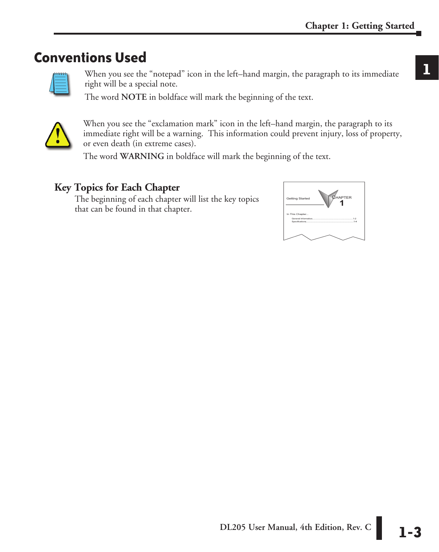# **Conventions Used**



When you see the "notepad" icon in the left–hand margin, the paragraph to its immediate right will be a special note.

The word **NOTE** in boldface will mark the beginning of the text.



When you see the "exclamation mark" icon in the left–hand margin, the paragraph to its immediate right will be a warning. This information could prevent injury, loss of property, or even death (in extreme cases).

The word **WARNING** in boldface will mark the beginning of the text.

### **Key Topics for Each Chapter**

The beginning of each chapter will list the key topics that can be found in that chapter.

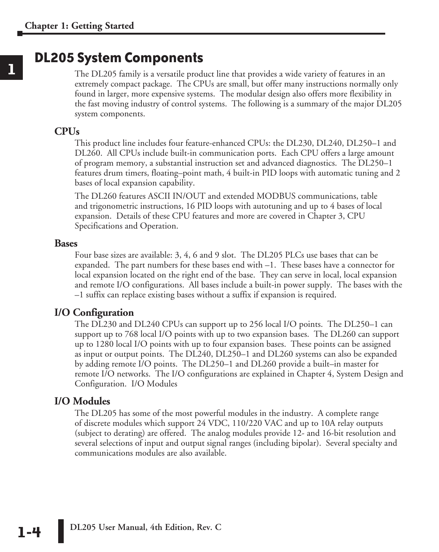# **DL205 System Components**

The DL205 family is a versatile product line that provides a wide variety of features in an extremely compact package. The CPUs are small, but offer many instructions normally only found in larger, more expensive systems. The modular design also offers more flexibility in the fast moving industry of control systems. The following is a summary of the major DL205 system components.

### **CPUs**

This product line includes four feature-enhanced CPUs: the DL230, DL240, DL250–1 and DL260. All CPUs include built-in communication ports. Each CPU offers a large amount of program memory, a substantial instruction set and advanced diagnostics. The DL250–1 features drum timers, floating–point math, 4 built-in PID loops with automatic tuning and 2 bases of local expansion capability.

The DL260 features ASCII IN/OUT and extended MODBUS communications, table and trigonometric instructions, 16 PID loops with autotuning and up to 4 bases of local expansion. Details of these CPU features and more are covered in Chapter 3, CPU Specifications and Operation.

#### **Bases**

Four base sizes are available: 3, 4, 6 and 9 slot. The DL205 PLCs use bases that can be expanded. The part numbers for these bases end with –1. These bases have a connector for local expansion located on the right end of the base. They can serve in local, local expansion and remote I/O configurations. All bases include a built-in power supply. The bases with the –1 suffix can replace existing bases without a suffix if expansion is required.

### **I/O Configuration**

The DL230 and DL240 CPUs can support up to 256 local I/O points. The DL250–1 can support up to 768 local I/O points with up to two expansion bases. The DL260 can support up to 1280 local I/O points with up to four expansion bases. These points can be assigned as input or output points. The DL240, DL250–1 and DL260 systems can also be expanded by adding remote I/O points. The DL250–1 and DL260 provide a built–in master for remote I/O networks. The I/O configurations are explained in Chapter 4, System Design and Configuration. I/O Modules

#### **I/O Modules**

The DL205 has some of the most powerful modules in the industry. A complete range of discrete modules which support 24 VDC, 110/220 VAC and up to 10A relay outputs (subject to derating) are offered. The analog modules provide 12- and 16-bit resolution and several selections of input and output signal ranges (including bipolar). Several specialty and communications modules are also available.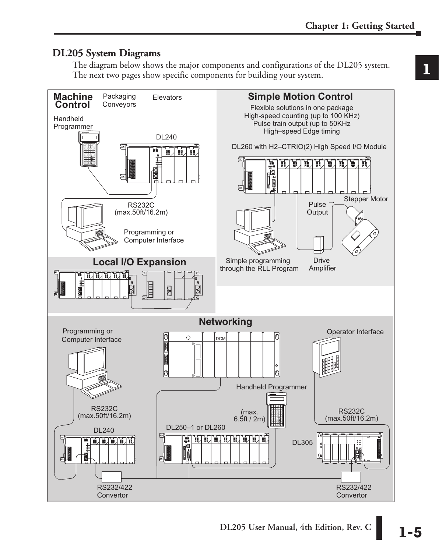### **DL205 System Diagrams**

The diagram below shows the major components and configurations of the DL205 system. The next two pages show specific components for building your system.

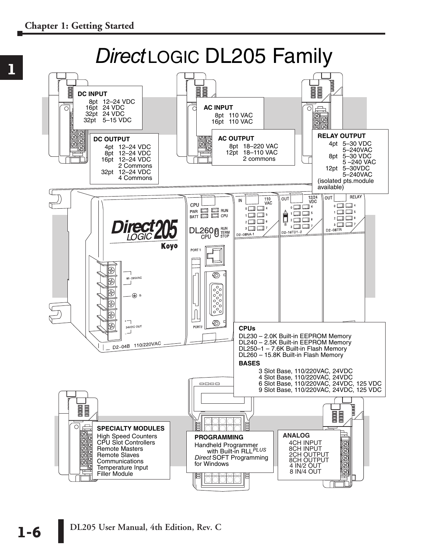

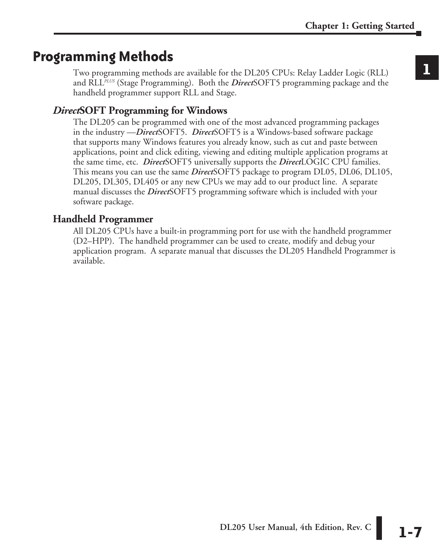# **Programming Methods**

Two programming methods are available for the DL205 CPUs: Relay Ladder Logic (RLL) and RLL*PLUS* (Stage Programming). Both the *Direct*SOFT5 programming package and the handheld programmer support RLL and Stage.

## *Direct***SOFT Programming for Windows**

The DL205 can be programmed with one of the most advanced programming packages in the industry ––*Direct*SOFT5. *Direct*SOFT5 is a Windows-based software package that supports many Windows features you already know, such as cut and paste between applications, point and click editing, viewing and editing multiple application programs at the same time, etc. *Direct*SOFT5 universally supports the *Direct*LOGIC CPU families. This means you can use the same *Direct*SOFT5 package to program DL05, DL06, DL105, DL205, DL305, DL405 or any new CPUs we may add to our product line. A separate manual discusses the *Direct*SOFT5 programming software which is included with your software package.

### **Handheld Programmer**

All DL205 CPUs have a built-in programming port for use with the handheld programmer (D2–HPP). The handheld programmer can be used to create, modify and debug your application program. A separate manual that discusses the DL205 Handheld Programmer is available.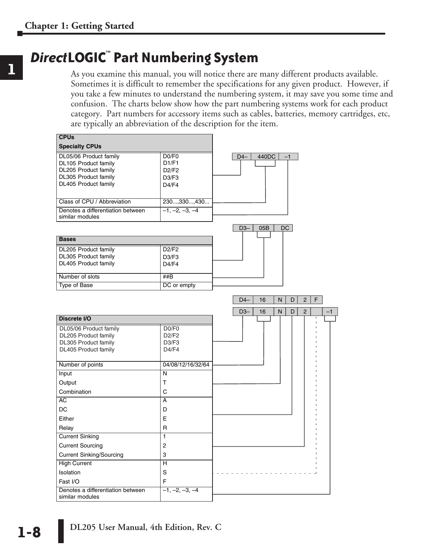# *Direct***LOGIC**™ **Part Numbering System**

As you examine this manual, you will notice there are many different products available. Sometimes it is difficult to remember the specifications for any given product. However, if you take a few minutes to understand the numbering system, it may save you some time and confusion. The charts below show how the part numbering systems work for each product category. Part numbers for accessory items such as cables, batteries, memory cartridges, etc, are typically an abbreviation of the description for the item.

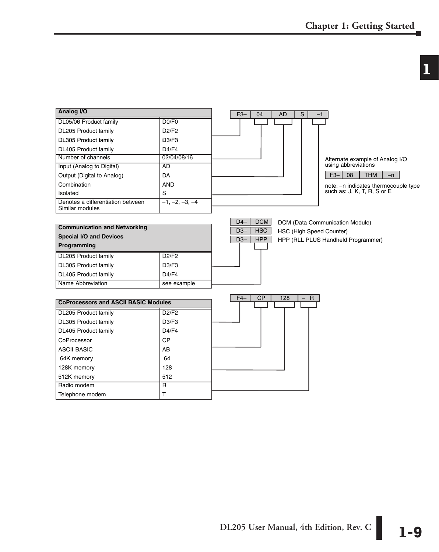# **1**

| Analog I/O                                           |                                | $\mathsf{s}$<br>$F3-$<br>04<br><b>AD</b>                         |
|------------------------------------------------------|--------------------------------|------------------------------------------------------------------|
| DL05/06 Product family                               | DO/F0                          |                                                                  |
| DL205 Product family                                 | D2/F2                          |                                                                  |
| <b>DL305 Product family</b>                          | D <sub>3</sub> /F <sub>3</sub> |                                                                  |
| DL405 Product family                                 | D4/F4                          |                                                                  |
| Number of channels                                   | 02/04/08/16                    | Alternate example of Analog I/O                                  |
| Input (Analog to Digital)                            | <b>AD</b>                      | using abbreviations                                              |
| Output (Digital to Analog)                           | DA                             | 08<br>$F3-$<br><b>THM</b><br>$-n$                                |
| Combination                                          | <b>AND</b>                     | note: - n indicates thermocouple type                            |
| Isolated                                             | $\overline{s}$                 | such as: J, K, T, R, S or E                                      |
| Denotes a differentiation between<br>Similar modules | $-1, -2, -3, -4$               |                                                                  |
|                                                      |                                | DCM<br>$D4-$<br>DCM (Data Communication Module)                  |
| <b>Communication and Networking</b>                  |                                | <b>HSC</b><br>$D3-$<br><b>HSC (High Speed Counter)</b>           |
| <b>Special I/O and Devices</b>                       |                                | HPP (RLL PLUS Handheld Programmer)<br>$D3-$<br><b>HPP</b>        |
| Programming                                          |                                |                                                                  |
| DL205 Product family                                 | D2/F2                          |                                                                  |
| DL305 Product family                                 | D3/F3                          |                                                                  |
| DL405 Product family                                 | D4/F4                          |                                                                  |
| Name Abbreviation                                    | see example                    |                                                                  |
|                                                      |                                |                                                                  |
| <b>CoProcessors and ASCII BASIC Modules</b>          |                                | <b>CP</b><br>$F4-$<br>128<br>$\overline{R}$<br>$\qquad \qquad -$ |
| DL205 Product family                                 | D2/F2                          |                                                                  |
| DL305 Product family                                 | D3/F3                          |                                                                  |
| DL405 Product family                                 | D4/F4                          |                                                                  |
| CoProcessor                                          | CP                             |                                                                  |
| <b>ASCII BASIC</b>                                   | AB                             |                                                                  |
| 64K memory                                           | 64                             |                                                                  |
| 128K memory                                          | 128                            |                                                                  |
| 512K memory                                          | 512                            |                                                                  |
| Radio modem                                          | $\overline{R}$                 |                                                                  |
| Telephone modem                                      | T                              |                                                                  |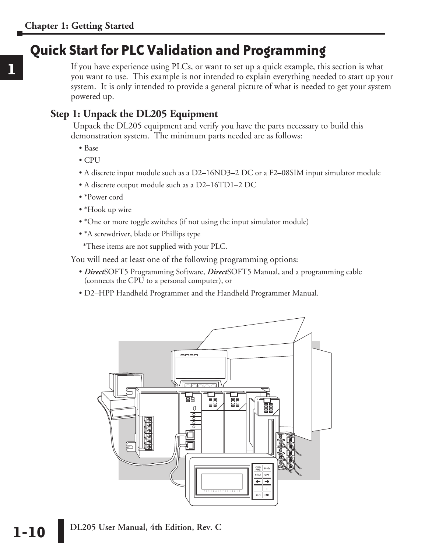# **Quick Start for PLC Validation and Programming**

If you have experience using PLCs, or want to set up a quick example, this section is what you want to use. This example is not intended to explain everything needed to start up your system. It is only intended to provide a general picture of what is needed to get your system powered up.

### **Step 1: Unpack the DL205 Equipment**

 Unpack the DL205 equipment and verify you have the parts necessary to build this demonstration system. The minimum parts needed are as follows:

- Base
- $\bullet$  CPU
- A discrete input module such as a D2–16ND3–2 DC or a F2–08SIM input simulator module
- A discrete output module such as a D2–16TD1–2 DC
- \*Power cord
- \*Hook up wire
- \*One or more toggle switches (if not using the input simulator module)
- \*A screwdriver, blade or Phillips type
- \*These items are not supplied with your PLC.

You will need at least one of the following programming options:

- *Direct*SOFT5 Programming Software, *Direct*SOFT5 Manual, and a programming cable (connects the CPU to a personal computer), or
- D2–HPP Handheld Programmer and the Handheld Programmer Manual.

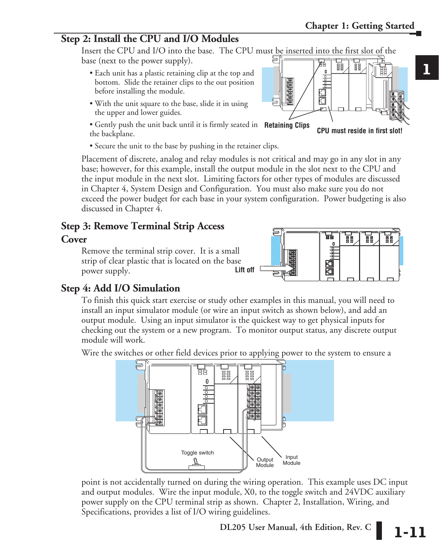**1**

### **Step 2: Install the CPU and I/O Modules**

Insert the CPU and I/O into the base. The CPU must be inserted into the first slot of the base (next to the power supply). ₽

- Each unit has a plastic retaining clip at the top and bottom. Slide the retainer clips to the out position before installing the module.
- With the unit square to the base, slide it in using the upper and lower guides.
- Gently push the unit back until it is firmly seated in **Retaining Clips**the backplane.
- Secure the unit to the base by pushing in the retainer clips.

Placement of discrete, analog and relay modules is not critical and may go in any slot in any base; however, for this example, install the output module in the slot next to the CPU and the input module in the next slot. Limiting factors for other types of modules are discussed in Chapter 4, System Design and Configuration. You must also make sure you do not exceed the power budget for each base in your system configuration. Power budgeting is also discussed in Chapter 4.

# **Step 3: Remove Terminal Strip Access**

### **Cover**

Remove the terminal strip cover. It is a small strip of clear plastic that is located on the base power supply.

### **Step 4: Add I/O Simulation**

To finish this quick start exercise or study other examples in this manual, you will need to install an input simulator module (or wire an input switch as shown below), and add an output module. Using an input simulator is the quickest way to get physical inputs for checking out the system or a new program. To monitor output status, any discrete output module will work.

Wire the switches or other field devices prior to applying power to the system to ensure a

point is not accidentally turned on during the wiring operation. This example uses DC input and output modules. Wire the input module, X0, to the toggle switch and 24VDC auxiliary







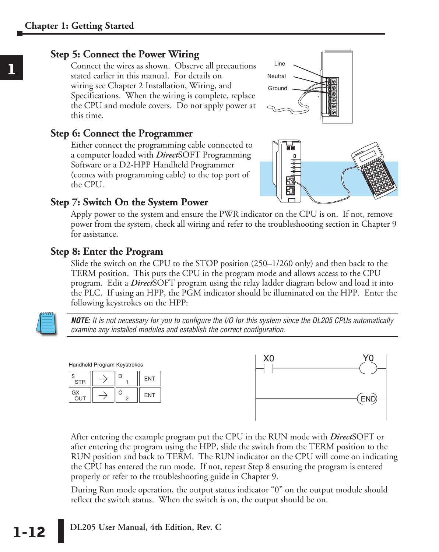### **Step 5: Connect the Power Wiring**

Connect the wires as shown. Observe all precautions stated earlier in this manual. For details on wiring see Chapter 2 Installation, Wiring, and Specifications. When the wiring is complete, replace the CPU and module covers. Do not apply power at this time.

### **Step 6: Connect the Programmer**

Either connect the programming cable connected to a computer loaded with *Direct*SOFT Programming Software or a D2-HPP Handheld Programmer (comes with programming cable) to the top port of the CPU.





### **Step 7: Switch On the System Power**

Apply power to the system and ensure the PWR indicator on the CPU is on. If not, remove power from the system, check all wiring and refer to the troubleshooting section in Chapter 9 for assistance.

### **Step 8: Enter the Program**

Slide the switch on the CPU to the STOP position (250–1/260 only) and then back to the TERM position. This puts the CPU in the program mode and allows access to the CPU program. Edit a *Direct*SOFT program using the relay ladder diagram below and load it into the PLC. If using an HPP, the PGM indicator should be illuminated on the HPP. Enter the following keystrokes on the HPP:



*NOTE: It is not necessary for you to configure the I/O for this system since the DL205 CPUs automatically examine any installed modules and establish the correct configuration.*



After entering the example program put the CPU in the RUN mode with *Direct*SOFT or after entering the program using the HPP, slide the switch from the TERM position to the RUN position and back to TERM. The RUN indicator on the CPU will come on indicating the CPU has entered the run mode. If not, repeat Step 8 ensuring the program is entered properly or refer to the troubleshooting guide in Chapter 9.

During Run mode operation, the output status indicator "0" on the output module should reflect the switch status. When the switch is on, the output should be on.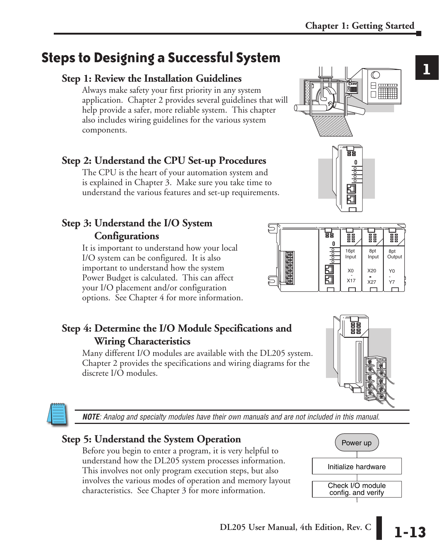**1**

# **Steps to Designing a Successful System**

### **Step 1: Review the Installation Guidelines**

Always make safety your first priority in any system application. Chapter 2 provides several guidelines that will help provide a safer, more reliable system. This chapter also includes wiring guidelines for the various system components.

### **Step 2: Understand the CPU Set-up Procedures**

The CPU is the heart of your automation system and is explained in Chapter 3. Make sure you take time to understand the various features and set-up requirements.

## **Step 3: Understand the I/O System Configurations**

It is important to understand how your local I/O system can be configured. It is also important to understand how the system Power Budget is calculated. This can affect your I/O placement and/or configuration options. See Chapter 4 for more information.

### **Step 4: Determine the I/O Module Specifications and Wiring Characteristics**

Many different I/O modules are available with the DL205 system. Chapter 2 provides the specifications and wiring diagrams for the discrete I/O modules.

*NOTE: Analog and specialty modules have their own manuals and are not included in this manual.*

# **Step 5: Understand the System Operation**

Before you begin to enter a program, it is very helpful to understand how the DL205 system processes information. This involves not only program execution steps, but also involves the various modes of operation and memory layout characteristics. See Chapter 3 for more information.